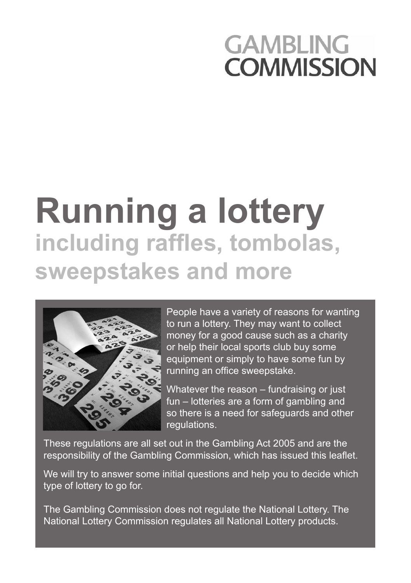## **GAMBLING COMMISSION**

# **Running a lottery including raffles, tombolas, sweepstakes and more**



People have a variety of reasons for wanting to run a lottery. They may want to collect money for a good cause such as a charity or help their local sports club buy some equipment or simply to have some fun by running an office sweepstake.

Whatever the reason – fundraising or just fun – lotteries are a form of gambling and so there is a need for safeguards and other regulations.

These regulations are all set out in the Gambling Act 2005 and are the responsibility of the Gambling Commission, which has issued this leaflet.

We will try to answer some initial questions and help you to decide which type of lottery to go for.

The Gambling Commission does not regulate the National Lottery. The National Lottery Commission regulates all National Lottery products.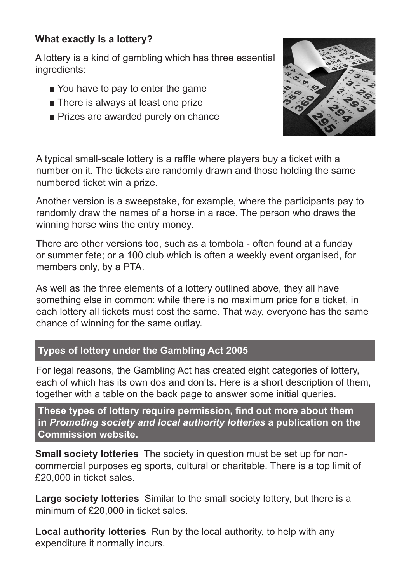#### **What exactly is a lottery?**

A lottery is a kind of gambling which has three essential ingredients:

- You have to pay to enter the game
- There is always at least one prize
- Prizes are awarded purely on chance



A typical small-scale lottery is a raffle where players buy a ticket with a number on it. The tickets are randomly drawn and those holding the same numbered ticket win a prize.

Another version is a sweepstake, for example, where the participants pay to randomly draw the names of a horse in a race. The person who draws the winning horse wins the entry money.

There are other versions too, such as a tombola - often found at a funday or summer fete; or a 100 club which is often a weekly event organised, for members only, by a PTA.

As well as the three elements of a lottery outlined above, they all have something else in common: while there is no maximum price for a ticket, in each lottery all tickets must cost the same. That way, everyone has the same chance of winning for the same outlay.

#### **Types of lottery under the Gambling Act 2005**

For legal reasons, the Gambling Act has created eight categories of lottery, each of which has its own dos and don'ts. Here is a short description of them, together with a table on the back page to answer some initial queries.

**These types of lottery require permission, find out more about them in** *Promoting society and local authority lotteries* **a publication on the Commission website.**

**Small society lotteries** The society in question must be set up for noncommercial purposes eg sports, cultural or charitable. There is a top limit of £20,000 in ticket sales.

**Large society lotteries** Similar to the small society lottery, but there is a minimum of £20,000 in ticket sales.

**Local authority lotteries** Run by the local authority, to help with any expenditure it normally incurs.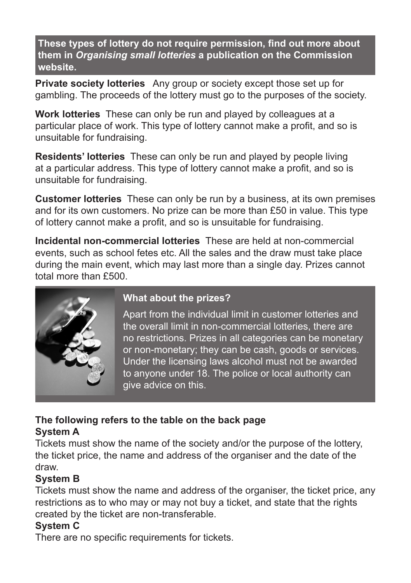**These types of lottery do not require permission, find out more about them in** *Organising small lotteries* **a publication on the Commission website.**

**Private society lotteries** Any group or society except those set up for gambling. The proceeds of the lottery must go to the purposes of the society.

**Work lotteries** These can only be run and played by colleagues at a particular place of work. This type of lottery cannot make a profit, and so is unsuitable for fundraising.

**Residents' lotteries** These can only be run and played by people living at a particular address. This type of lottery cannot make a profit, and so is unsuitable for fundraising.

**Customer lotteries** These can only be run by a business, at its own premises and for its own customers. No prize can be more than £50 in value. This type of lottery cannot make a profit, and so is unsuitable for fundraising.

**Incidental non-commercial lotteries** These are held at non-commercial events, such as school fetes etc. All the sales and the draw must take place during the main event, which may last more than a single day. Prizes cannot total more than £500.



#### **What about the prizes?**

Apart from the individual limit in customer lotteries and the overall limit in non-commercial lotteries, there are no restrictions. Prizes in all categories can be monetary or non-monetary; they can be cash, goods or services. Under the licensing laws alcohol must not be awarded to anyone under 18. The police or local authority can give advice on this.

#### **The following refers to the table on the back page System A**

Tickets must show the name of the society and/or the purpose of the lottery, the ticket price, the name and address of the organiser and the date of the draw.

#### **System B**

Tickets must show the name and address of the organiser, the ticket price, any restrictions as to who may or may not buy a ticket, and state that the rights created by the ticket are non-transferable.

### **System C**

There are no specific requirements for tickets.